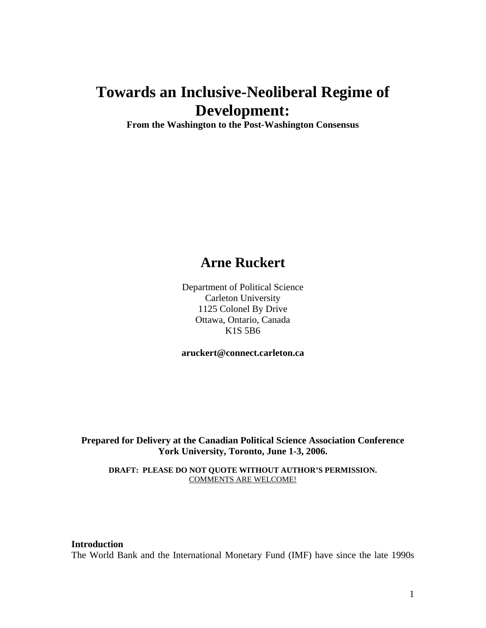# **Towards an Inclusive-Neoliberal Regime of Development:**

**From the Washington to the Post-Washington Consensus** 

# **Arne Ruckert**

Department of Political Science Carleton University 1125 Colonel By Drive Ottawa, Ontario, Canada K1S 5B6

**aruckert@connect.carleton.ca**

**Prepared for Delivery at the Canadian Political Science Association Conference York University, Toronto, June 1-3, 2006.** 

**DRAFT: PLEASE DO NOT QUOTE WITHOUT AUTHOR'S PERMISSION.**  COMMENTS ARE WELCOME!

**Introduction**  The World Bank and the International Monetary Fund (IMF) have since the late 1990s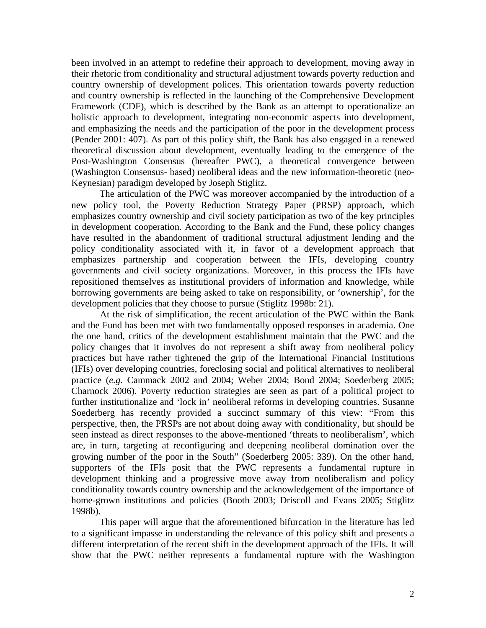been involved in an attempt to redefine their approach to development, moving away in their rhetoric from conditionality and structural adjustment towards poverty reduction and country ownership of development polices. This orientation towards poverty reduction and country ownership is reflected in the launching of the Comprehensive Development Framework (CDF), which is described by the Bank as an attempt to operationalize an holistic approach to development, integrating non-economic aspects into development, and emphasizing the needs and the participation of the poor in the development process (Pender 2001: 407). As part of this policy shift, the Bank has also engaged in a renewed theoretical discussion about development, eventually leading to the emergence of the Post-Washington Consensus (hereafter PWC), a theoretical convergence between (Washington Consensus- based) neoliberal ideas and the new information-theoretic (neo-Keynesian) paradigm developed by Joseph Stiglitz.

The articulation of the PWC was moreover accompanied by the introduction of a new policy tool, the Poverty Reduction Strategy Paper (PRSP) approach, which emphasizes country ownership and civil society participation as two of the key principles in development cooperation. According to the Bank and the Fund, these policy changes have resulted in the abandonment of traditional structural adjustment lending and the policy conditionality associated with it, in favor of a development approach that emphasizes partnership and cooperation between the IFIs, developing country governments and civil society organizations. Moreover, in this process the IFIs have repositioned themselves as institutional providers of information and knowledge, while borrowing governments are being asked to take on responsibility, or 'ownership', for the development policies that they choose to pursue (Stiglitz 1998b: 21).

At the risk of simplification, the recent articulation of the PWC within the Bank and the Fund has been met with two fundamentally opposed responses in academia. One the one hand, critics of the development establishment maintain that the PWC and the policy changes that it involves do not represent a shift away from neoliberal policy practices but have rather tightened the grip of the International Financial Institutions (IFIs) over developing countries, foreclosing social and political alternatives to neoliberal practice (*e.g.* Cammack 2002 and 2004; Weber 2004; Bond 2004; Soederberg 2005; Charnock 2006). Poverty reduction strategies are seen as part of a political project to further institutionalize and 'lock in' neoliberal reforms in developing countries. Susanne Soederberg has recently provided a succinct summary of this view: "From this perspective, then, the PRSPs are not about doing away with conditionality, but should be seen instead as direct responses to the above-mentioned 'threats to neoliberalism', which are, in turn, targeting at reconfiguring and deepening neoliberal domination over the growing number of the poor in the South" (Soederberg 2005: 339). On the other hand, supporters of the IFIs posit that the PWC represents a fundamental rupture in development thinking and a progressive move away from neoliberalism and policy conditionality towards country ownership and the acknowledgement of the importance of home-grown institutions and policies (Booth 2003; Driscoll and Evans 2005; Stiglitz 1998b).

This paper will argue that the aforementioned bifurcation in the literature has led to a significant impasse in understanding the relevance of this policy shift and presents a different interpretation of the recent shift in the development approach of the IFIs. It will show that the PWC neither represents a fundamental rupture with the Washington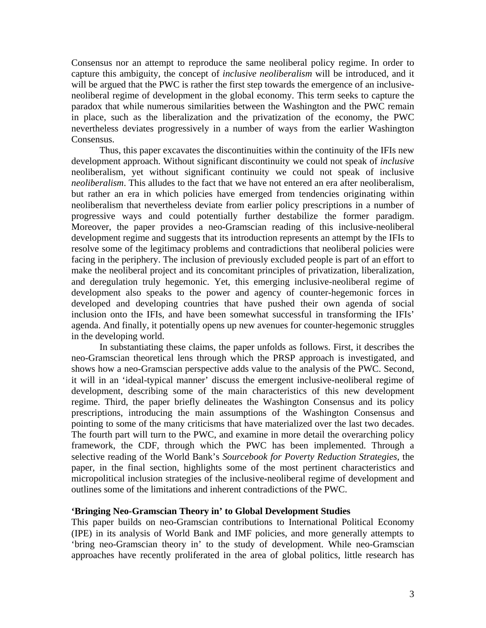Consensus nor an attempt to reproduce the same neoliberal policy regime. In order to capture this ambiguity, the concept of *inclusive neoliberalism* will be introduced, and it will be argued that the PWC is rather the first step towards the emergence of an inclusiveneoliberal regime of development in the global economy. This term seeks to capture the paradox that while numerous similarities between the Washington and the PWC remain in place, such as the liberalization and the privatization of the economy, the PWC nevertheless deviates progressively in a number of ways from the earlier Washington Consensus.

Thus, this paper excavates the discontinuities within the continuity of the IFIs new development approach. Without significant discontinuity we could not speak of *inclusive* neoliberalism, yet without significant continuity we could not speak of inclusive *neoliberalism*. This alludes to the fact that we have not entered an era after neoliberalism, but rather an era in which policies have emerged from tendencies originating within neoliberalism that nevertheless deviate from earlier policy prescriptions in a number of progressive ways and could potentially further destabilize the former paradigm. Moreover, the paper provides a neo-Gramscian reading of this inclusive-neoliberal development regime and suggests that its introduction represents an attempt by the IFIs to resolve some of the legitimacy problems and contradictions that neoliberal policies were facing in the periphery. The inclusion of previously excluded people is part of an effort to make the neoliberal project and its concomitant principles of privatization, liberalization, and deregulation truly hegemonic. Yet, this emerging inclusive-neoliberal regime of development also speaks to the power and agency of counter-hegemonic forces in developed and developing countries that have pushed their own agenda of social inclusion onto the IFIs, and have been somewhat successful in transforming the IFIs' agenda. And finally, it potentially opens up new avenues for counter-hegemonic struggles in the developing world.

In substantiating these claims, the paper unfolds as follows. First, it describes the neo-Gramscian theoretical lens through which the PRSP approach is investigated, and shows how a neo-Gramscian perspective adds value to the analysis of the PWC. Second, it will in an 'ideal-typical manner' discuss the emergent inclusive-neoliberal regime of development, describing some of the main characteristics of this new development regime. Third, the paper briefly delineates the Washington Consensus and its policy prescriptions, introducing the main assumptions of the Washington Consensus and pointing to some of the many criticisms that have materialized over the last two decades. The fourth part will turn to the PWC, and examine in more detail the overarching policy framework, the CDF, through which the PWC has been implemented. Through a selective reading of the World Bank's *Sourcebook for Poverty Reduction Strategies*, the paper, in the final section, highlights some of the most pertinent characteristics and micropolitical inclusion strategies of the inclusive-neoliberal regime of development and outlines some of the limitations and inherent contradictions of the PWC.

#### **'Bringing Neo-Gramscian Theory in' to Global Development Studies**

This paper builds on neo-Gramscian contributions to International Political Economy (IPE) in its analysis of World Bank and IMF policies, and more generally attempts to 'bring neo-Gramscian theory in' to the study of development. While neo-Gramscian approaches have recently proliferated in the area of global politics, little research has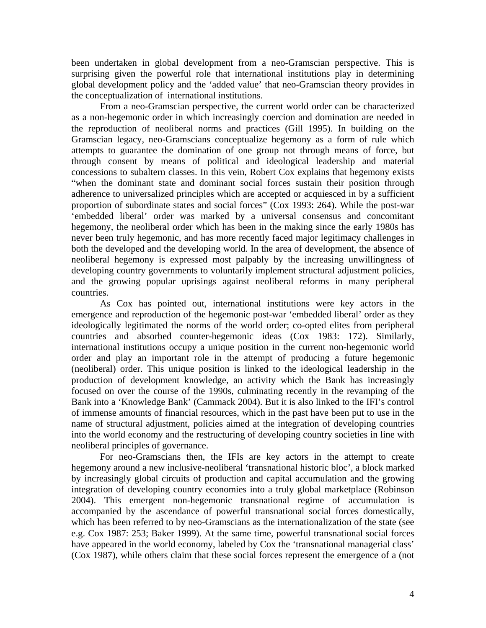been undertaken in global development from a neo-Gramscian perspective. This is surprising given the powerful role that international institutions play in determining global development policy and the 'added value' that neo-Gramscian theory provides in the conceptualization of international institutions.

From a neo-Gramscian perspective, the current world order can be characterized as a non-hegemonic order in which increasingly coercion and domination are needed in the reproduction of neoliberal norms and practices (Gill 1995). In building on the Gramscian legacy, neo-Gramscians conceptualize hegemony as a form of rule which attempts to guarantee the domination of one group not through means of force, but through consent by means of political and ideological leadership and material concessions to subaltern classes. In this vein, Robert Cox explains that hegemony exists "when the dominant state and dominant social forces sustain their position through adherence to universalized principles which are accepted or acquiesced in by a sufficient proportion of subordinate states and social forces" (Cox 1993: 264). While the post-war 'embedded liberal' order was marked by a universal consensus and concomitant hegemony, the neoliberal order which has been in the making since the early 1980s has never been truly hegemonic, and has more recently faced major legitimacy challenges in both the developed and the developing world. In the area of development, the absence of neoliberal hegemony is expressed most palpably by the increasing unwillingness of developing country governments to voluntarily implement structural adjustment policies, and the growing popular uprisings against neoliberal reforms in many peripheral countries.

As Cox has pointed out, international institutions were key actors in the emergence and reproduction of the hegemonic post-war 'embedded liberal' order as they ideologically legitimated the norms of the world order; co-opted elites from peripheral countries and absorbed counter-hegemonic ideas (Cox 1983: 172). Similarly, international institutions occupy a unique position in the current non-hegemonic world order and play an important role in the attempt of producing a future hegemonic (neoliberal) order. This unique position is linked to the ideological leadership in the production of development knowledge, an activity which the Bank has increasingly focused on over the course of the 1990s, culminating recently in the revamping of the Bank into a 'Knowledge Bank' (Cammack 2004). But it is also linked to the IFI's control of immense amounts of financial resources, which in the past have been put to use in the name of structural adjustment, policies aimed at the integration of developing countries into the world economy and the restructuring of developing country societies in line with neoliberal principles of governance.

For neo-Gramscians then, the IFIs are key actors in the attempt to create hegemony around a new inclusive-neoliberal 'transnational historic bloc', a block marked by increasingly global circuits of production and capital accumulation and the growing integration of developing country economies into a truly global marketplace (Robinson 2004). This emergent non-hegemonic transnational regime of accumulation is accompanied by the ascendance of powerful transnational social forces domestically, which has been referred to by neo-Gramscians as the internationalization of the state (see e.g. Cox 1987: 253; Baker 1999). At the same time, powerful transnational social forces have appeared in the world economy, labeled by Cox the 'transnational managerial class' (Cox 1987), while others claim that these social forces represent the emergence of a (not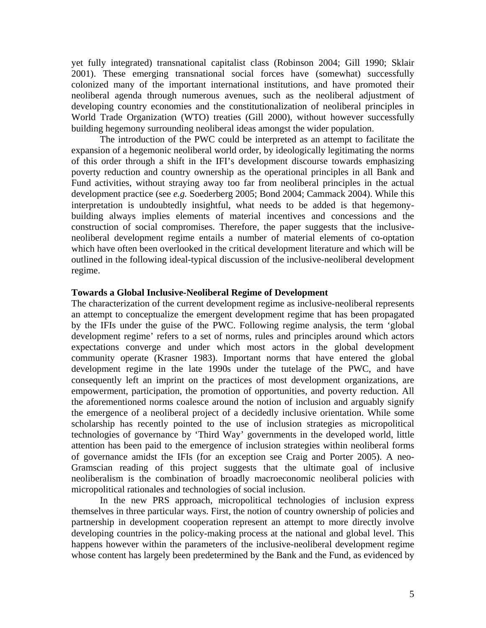yet fully integrated) transnational capitalist class (Robinson 2004; Gill 1990; Sklair 2001). These emerging transnational social forces have (somewhat) successfully colonized many of the important international institutions, and have promoted their neoliberal agenda through numerous avenues, such as the neoliberal adjustment of developing country economies and the constitutionalization of neoliberal principles in World Trade Organization (WTO) treaties (Gill 2000), without however successfully building hegemony surrounding neoliberal ideas amongst the wider population.

The introduction of the PWC could be interpreted as an attempt to facilitate the expansion of a hegemonic neoliberal world order, by ideologically legitimating the norms of this order through a shift in the IFI's development discourse towards emphasizing poverty reduction and country ownership as the operational principles in all Bank and Fund activities, without straying away too far from neoliberal principles in the actual development practice (see *e.g.* Soederberg 2005; Bond 2004; Cammack 2004). While this interpretation is undoubtedly insightful, what needs to be added is that hegemonybuilding always implies elements of material incentives and concessions and the construction of social compromises. Therefore, the paper suggests that the inclusiveneoliberal development regime entails a number of material elements of co-optation which have often been overlooked in the critical development literature and which will be outlined in the following ideal-typical discussion of the inclusive-neoliberal development regime.

## **Towards a Global Inclusive-Neoliberal Regime of Development**

The characterization of the current development regime as inclusive-neoliberal represents an attempt to conceptualize the emergent development regime that has been propagated by the IFIs under the guise of the PWC. Following regime analysis, the term 'global development regime' refers to a set of norms, rules and principles around which actors expectations converge and under which most actors in the global development community operate (Krasner 1983). Important norms that have entered the global development regime in the late 1990s under the tutelage of the PWC, and have consequently left an imprint on the practices of most development organizations, are empowerment, participation, the promotion of opportunities, and poverty reduction. All the aforementioned norms coalesce around the notion of inclusion and arguably signify the emergence of a neoliberal project of a decidedly inclusive orientation. While some scholarship has recently pointed to the use of inclusion strategies as micropolitical technologies of governance by 'Third Way' governments in the developed world, little attention has been paid to the emergence of inclusion strategies within neoliberal forms of governance amidst the IFIs (for an exception see Craig and Porter 2005). A neo-Gramscian reading of this project suggests that the ultimate goal of inclusive neoliberalism is the combination of broadly macroeconomic neoliberal policies with micropolitical rationales and technologies of social inclusion.

In the new PRS approach, micropolitical technologies of inclusion express themselves in three particular ways. First, the notion of country ownership of policies and partnership in development cooperation represent an attempt to more directly involve developing countries in the policy-making process at the national and global level. This happens however within the parameters of the inclusive-neoliberal development regime whose content has largely been predetermined by the Bank and the Fund, as evidenced by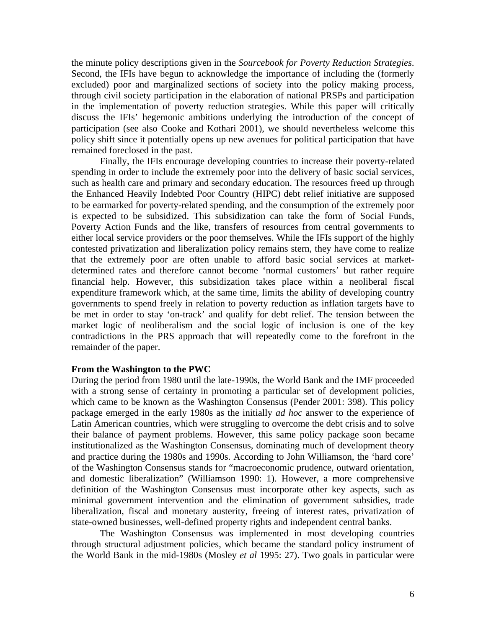the minute policy descriptions given in the *Sourcebook for Poverty Reduction Strategies*. Second, the IFIs have begun to acknowledge the importance of including the (formerly excluded) poor and marginalized sections of society into the policy making process, through civil society participation in the elaboration of national PRSPs and participation in the implementation of poverty reduction strategies. While this paper will critically discuss the IFIs' hegemonic ambitions underlying the introduction of the concept of participation (see also Cooke and Kothari 2001), we should nevertheless welcome this policy shift since it potentially opens up new avenues for political participation that have remained foreclosed in the past.

Finally, the IFIs encourage developing countries to increase their poverty-related spending in order to include the extremely poor into the delivery of basic social services, such as health care and primary and secondary education. The resources freed up through the Enhanced Heavily Indebted Poor Country (HIPC) debt relief initiative are supposed to be earmarked for poverty-related spending, and the consumption of the extremely poor is expected to be subsidized. This subsidization can take the form of Social Funds, Poverty Action Funds and the like, transfers of resources from central governments to either local service providers or the poor themselves. While the IFIs support of the highly contested privatization and liberalization policy remains stern, they have come to realize that the extremely poor are often unable to afford basic social services at marketdetermined rates and therefore cannot become 'normal customers' but rather require financial help. However, this subsidization takes place within a neoliberal fiscal expenditure framework which, at the same time, limits the ability of developing country governments to spend freely in relation to poverty reduction as inflation targets have to be met in order to stay 'on-track' and qualify for debt relief. The tension between the market logic of neoliberalism and the social logic of inclusion is one of the key contradictions in the PRS approach that will repeatedly come to the forefront in the remainder of the paper.

#### **From the Washington to the PWC**

During the period from 1980 until the late-1990s, the World Bank and the IMF proceeded with a strong sense of certainty in promoting a particular set of development policies, which came to be known as the Washington Consensus (Pender 2001: 398). This policy package emerged in the early 1980s as the initially *ad hoc* answer to the experience of Latin American countries, which were struggling to overcome the debt crisis and to solve their balance of payment problems. However, this same policy package soon became institutionalized as the Washington Consensus, dominating much of development theory and practice during the 1980s and 1990s. According to John Williamson, the 'hard core' of the Washington Consensus stands for "macroeconomic prudence, outward orientation, and domestic liberalization" (Williamson 1990: 1). However, a more comprehensive definition of the Washington Consensus must incorporate other key aspects, such as minimal government intervention and the elimination of government subsidies, trade liberalization, fiscal and monetary austerity, freeing of interest rates, privatization of state-owned businesses, well-defined property rights and independent central banks.

The Washington Consensus was implemented in most developing countries through structural adjustment policies, which became the standard policy instrument of the World Bank in the mid-1980s (Mosley *et al* 1995: 27). Two goals in particular were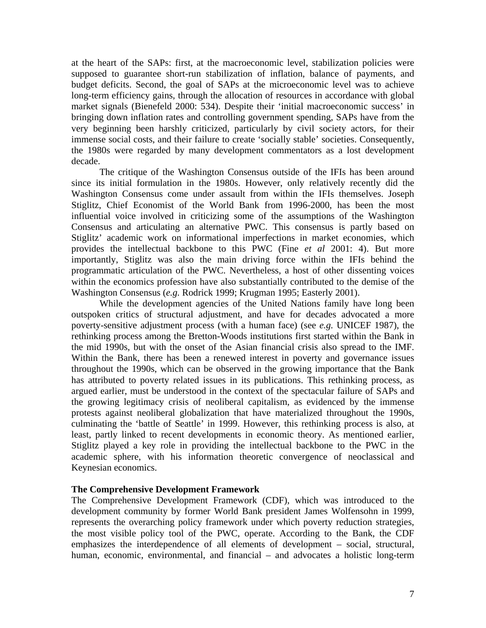at the heart of the SAPs: first, at the macroeconomic level, stabilization policies were supposed to guarantee short-run stabilization of inflation, balance of payments, and budget deficits. Second, the goal of SAPs at the microeconomic level was to achieve long-term efficiency gains, through the allocation of resources in accordance with global market signals (Bienefeld 2000: 534). Despite their 'initial macroeconomic success' in bringing down inflation rates and controlling government spending, SAPs have from the very beginning been harshly criticized, particularly by civil society actors, for their immense social costs, and their failure to create 'socially stable' societies. Consequently, the 1980s were regarded by many development commentators as a lost development decade.

The critique of the Washington Consensus outside of the IFIs has been around since its initial formulation in the 1980s. However, only relatively recently did the Washington Consensus come under assault from within the IFIs themselves. Joseph Stiglitz, Chief Economist of the World Bank from 1996-2000, has been the most influential voice involved in criticizing some of the assumptions of the Washington Consensus and articulating an alternative PWC. This consensus is partly based on Stiglitz' academic work on informational imperfections in market economies, which provides the intellectual backbone to this PWC (Fine *et al* 2001: 4). But more importantly, Stiglitz was also the main driving force within the IFIs behind the programmatic articulation of the PWC. Nevertheless, a host of other dissenting voices within the economics profession have also substantially contributed to the demise of the Washington Consensus (*e.g.* Rodrick 1999; Krugman 1995; Easterly 2001).

While the development agencies of the United Nations family have long been outspoken critics of structural adjustment, and have for decades advocated a more poverty-sensitive adjustment process (with a human face) (see *e.g.* UNICEF 1987), the rethinking process among the Bretton-Woods institutions first started within the Bank in the mid 1990s, but with the onset of the Asian financial crisis also spread to the IMF. Within the Bank, there has been a renewed interest in poverty and governance issues throughout the 1990s, which can be observed in the growing importance that the Bank has attributed to poverty related issues in its publications. This rethinking process, as argued earlier, must be understood in the context of the spectacular failure of SAPs and the growing legitimacy crisis of neoliberal capitalism, as evidenced by the immense protests against neoliberal globalization that have materialized throughout the 1990s, culminating the 'battle of Seattle' in 1999. However, this rethinking process is also, at least, partly linked to recent developments in economic theory. As mentioned earlier, Stiglitz played a key role in providing the intellectual backbone to the PWC in the academic sphere, with his information theoretic convergence of neoclassical and Keynesian economics.

# **The Comprehensive Development Framework**

The Comprehensive Development Framework (CDF), which was introduced to the development community by former World Bank president James Wolfensohn in 1999, represents the overarching policy framework under which poverty reduction strategies, the most visible policy tool of the PWC, operate. According to the Bank, the CDF emphasizes the interdependence of all elements of development – social, structural, human, economic, environmental, and financial – and advocates a holistic long-term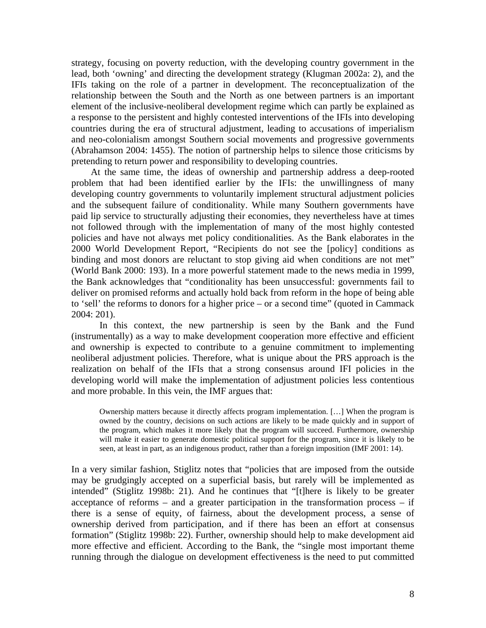strategy, focusing on poverty reduction, with the developing country government in the lead, both 'owning' and directing the development strategy (Klugman 2002a: 2), and the IFIs taking on the role of a partner in development. The reconceptualization of the relationship between the South and the North as one between partners is an important element of the inclusive-neoliberal development regime which can partly be explained as a response to the persistent and highly contested interventions of the IFIs into developing countries during the era of structural adjustment, leading to accusations of imperialism and neo-colonialism amongst Southern social movements and progressive governments (Abrahamson 2004: 1455). The notion of partnership helps to silence those criticisms by pretending to return power and responsibility to developing countries.

At the same time, the ideas of ownership and partnership address a deep-rooted problem that had been identified earlier by the IFIs: the unwillingness of many developing country governments to voluntarily implement structural adjustment policies and the subsequent failure of conditionality. While many Southern governments have paid lip service to structurally adjusting their economies, they nevertheless have at times not followed through with the implementation of many of the most highly contested policies and have not always met policy conditionalities. As the Bank elaborates in the 2000 World Development Report, "Recipients do not see the [policy] conditions as binding and most donors are reluctant to stop giving aid when conditions are not met" (World Bank 2000: 193). In a more powerful statement made to the news media in 1999, the Bank acknowledges that "conditionality has been unsuccessful: governments fail to deliver on promised reforms and actually hold back from reform in the hope of being able to 'sell' the reforms to donors for a higher price – or a second time" (quoted in Cammack 2004: 201).

In this context, the new partnership is seen by the Bank and the Fund (instrumentally) as a way to make development cooperation more effective and efficient and ownership is expected to contribute to a genuine commitment to implementing neoliberal adjustment policies. Therefore, what is unique about the PRS approach is the realization on behalf of the IFIs that a strong consensus around IFI policies in the developing world will make the implementation of adjustment policies less contentious and more probable. In this vein, the IMF argues that:

Ownership matters because it directly affects program implementation. […] When the program is owned by the country, decisions on such actions are likely to be made quickly and in support of the program, which makes it more likely that the program will succeed. Furthermore, ownership will make it easier to generate domestic political support for the program, since it is likely to be seen, at least in part, as an indigenous product, rather than a foreign imposition (IMF 2001: 14).

In a very similar fashion, Stiglitz notes that "policies that are imposed from the outside may be grudgingly accepted on a superficial basis, but rarely will be implemented as intended" (Stiglitz 1998b: 21). And he continues that "[t]here is likely to be greater acceptance of reforms – and a greater participation in the transformation process – if there is a sense of equity, of fairness, about the development process, a sense of ownership derived from participation, and if there has been an effort at consensus formation" (Stiglitz 1998b: 22). Further, ownership should help to make development aid more effective and efficient. According to the Bank, the "single most important theme running through the dialogue on development effectiveness is the need to put committed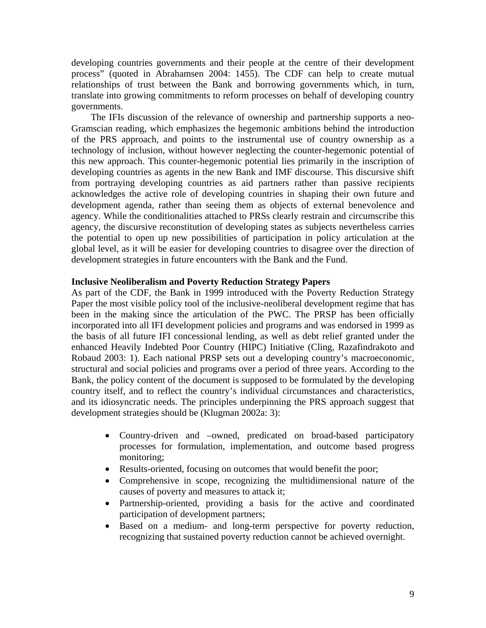developing countries governments and their people at the centre of their development process" (quoted in Abrahamsen 2004: 1455). The CDF can help to create mutual relationships of trust between the Bank and borrowing governments which, in turn, translate into growing commitments to reform processes on behalf of developing country governments.

The IFIs discussion of the relevance of ownership and partnership supports a neo-Gramscian reading, which emphasizes the hegemonic ambitions behind the introduction of the PRS approach, and points to the instrumental use of country ownership as a technology of inclusion, without however neglecting the counter-hegemonic potential of this new approach. This counter-hegemonic potential lies primarily in the inscription of developing countries as agents in the new Bank and IMF discourse. This discursive shift from portraying developing countries as aid partners rather than passive recipients acknowledges the active role of developing countries in shaping their own future and development agenda, rather than seeing them as objects of external benevolence and agency. While the conditionalities attached to PRSs clearly restrain and circumscribe this agency, the discursive reconstitution of developing states as subjects nevertheless carries the potential to open up new possibilities of participation in policy articulation at the global level, as it will be easier for developing countries to disagree over the direction of development strategies in future encounters with the Bank and the Fund.

#### **Inclusive Neoliberalism and Poverty Reduction Strategy Papers**

As part of the CDF, the Bank in 1999 introduced with the Poverty Reduction Strategy Paper the most visible policy tool of the inclusive-neoliberal development regime that has been in the making since the articulation of the PWC. The PRSP has been officially incorporated into all IFI development policies and programs and was endorsed in 1999 as the basis of all future IFI concessional lending, as well as debt relief granted under the enhanced Heavily Indebted Poor Country (HIPC) Initiative (Cling, Razafindrakoto and Robaud 2003: 1). Each national PRSP sets out a developing country's macroeconomic, structural and social policies and programs over a period of three years. According to the Bank, the policy content of the document is supposed to be formulated by the developing country itself, and to reflect the country's individual circumstances and characteristics, and its idiosyncratic needs. The principles underpinning the PRS approach suggest that development strategies should be (Klugman 2002a: 3):

- Country-driven and –owned, predicated on broad-based participatory processes for formulation, implementation, and outcome based progress monitoring;
- Results-oriented, focusing on outcomes that would benefit the poor;
- Comprehensive in scope, recognizing the multidimensional nature of the causes of poverty and measures to attack it;
- Partnership-oriented, providing a basis for the active and coordinated participation of development partners;
- Based on a medium- and long-term perspective for poverty reduction, recognizing that sustained poverty reduction cannot be achieved overnight.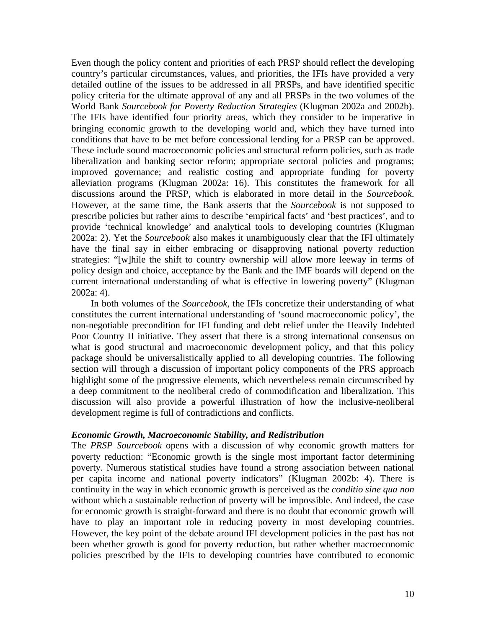Even though the policy content and priorities of each PRSP should reflect the developing country's particular circumstances, values, and priorities, the IFIs have provided a very detailed outline of the issues to be addressed in all PRSPs, and have identified specific policy criteria for the ultimate approval of any and all PRSPs in the two volumes of the World Bank *Sourcebook for Poverty Reduction Strategies* (Klugman 2002a and 2002b). The IFIs have identified four priority areas, which they consider to be imperative in bringing economic growth to the developing world and, which they have turned into conditions that have to be met before concessional lending for a PRSP can be approved. These include sound macroeconomic policies and structural reform policies, such as trade liberalization and banking sector reform; appropriate sectoral policies and programs; improved governance; and realistic costing and appropriate funding for poverty alleviation programs (Klugman 2002a: 16). This constitutes the framework for all discussions around the PRSP, which is elaborated in more detail in the *Sourcebook*. However, at the same time, the Bank asserts that the *Sourcebook* is not supposed to prescribe policies but rather aims to describe 'empirical facts' and 'best practices', and to provide 'technical knowledge' and analytical tools to developing countries (Klugman 2002a: 2). Yet the *Sourcebook* also makes it unambiguously clear that the IFI ultimately have the final say in either embracing or disapproving national poverty reduction strategies: "[w]hile the shift to country ownership will allow more leeway in terms of policy design and choice, acceptance by the Bank and the IMF boards will depend on the current international understanding of what is effective in lowering poverty" (Klugman 2002a: 4).

In both volumes of the *Sourcebook*, the IFIs concretize their understanding of what constitutes the current international understanding of 'sound macroeconomic policy', the non-negotiable precondition for IFI funding and debt relief under the Heavily Indebted Poor Country II initiative. They assert that there is a strong international consensus on what is good structural and macroeconomic development policy, and that this policy package should be universalistically applied to all developing countries. The following section will through a discussion of important policy components of the PRS approach highlight some of the progressive elements, which nevertheless remain circumscribed by a deep commitment to the neoliberal credo of commodification and liberalization. This discussion will also provide a powerful illustration of how the inclusive-neoliberal development regime is full of contradictions and conflicts.

#### *Economic Growth, Macroeconomic Stability, and Redistribution*

The *PRSP Sourcebook* opens with a discussion of why economic growth matters for poverty reduction: "Economic growth is the single most important factor determining poverty. Numerous statistical studies have found a strong association between national per capita income and national poverty indicators" (Klugman 2002b: 4). There is continuity in the way in which economic growth is perceived as the *conditio sine qua non* without which a sustainable reduction of poverty will be impossible. And indeed, the case for economic growth is straight-forward and there is no doubt that economic growth will have to play an important role in reducing poverty in most developing countries. However, the key point of the debate around IFI development policies in the past has not been whether growth is good for poverty reduction, but rather whether macroeconomic policies prescribed by the IFIs to developing countries have contributed to economic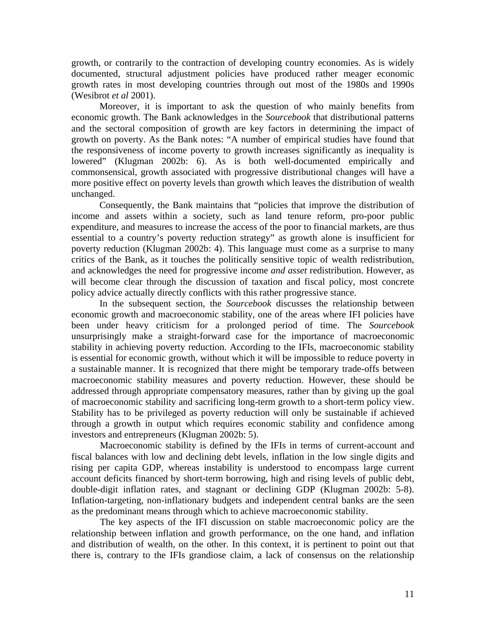growth, or contrarily to the contraction of developing country economies. As is widely documented, structural adjustment policies have produced rather meager economic growth rates in most developing countries through out most of the 1980s and 1990s (Wesibrot *et al* 2001).

Moreover, it is important to ask the question of who mainly benefits from economic growth. The Bank acknowledges in the *Sourcebook* that distributional patterns and the sectoral composition of growth are key factors in determining the impact of growth on poverty. As the Bank notes: "A number of empirical studies have found that the responsiveness of income poverty to growth increases significantly as inequality is lowered" (Klugman 2002b: 6). As is both well-documented empirically and commonsensical, growth associated with progressive distributional changes will have a more positive effect on poverty levels than growth which leaves the distribution of wealth unchanged.

Consequently, the Bank maintains that "policies that improve the distribution of income and assets within a society, such as land tenure reform, pro-poor public expenditure, and measures to increase the access of the poor to financial markets, are thus essential to a country's poverty reduction strategy" as growth alone is insufficient for poverty reduction (Klugman 2002b: 4). This language must come as a surprise to many critics of the Bank, as it touches the politically sensitive topic of wealth redistribution, and acknowledges the need for progressive income *and asset* redistribution. However, as will become clear through the discussion of taxation and fiscal policy, most concrete policy advice actually directly conflicts with this rather progressive stance.

In the subsequent section, the *Sourcebook* discusses the relationship between economic growth and macroeconomic stability, one of the areas where IFI policies have been under heavy criticism for a prolonged period of time. The *Sourcebook* unsurprisingly make a straight-forward case for the importance of macroeconomic stability in achieving poverty reduction. According to the IFIs, macroeconomic stability is essential for economic growth, without which it will be impossible to reduce poverty in a sustainable manner. It is recognized that there might be temporary trade-offs between macroeconomic stability measures and poverty reduction. However, these should be addressed through appropriate compensatory measures, rather than by giving up the goal of macroeconomic stability and sacrificing long-term growth to a short-term policy view. Stability has to be privileged as poverty reduction will only be sustainable if achieved through a growth in output which requires economic stability and confidence among investors and entrepreneurs (Klugman 2002b: 5).

 Macroeconomic stability is defined by the IFIs in terms of current-account and fiscal balances with low and declining debt levels, inflation in the low single digits and rising per capita GDP, whereas instability is understood to encompass large current account deficits financed by short-term borrowing, high and rising levels of public debt, double-digit inflation rates, and stagnant or declining GDP (Klugman 2002b: 5-8). Inflation-targeting, non-inflationary budgets and independent central banks are the seen as the predominant means through which to achieve macroeconomic stability.

 The key aspects of the IFI discussion on stable macroeconomic policy are the relationship between inflation and growth performance, on the one hand, and inflation and distribution of wealth, on the other. In this context, it is pertinent to point out that there is, contrary to the IFIs grandiose claim, a lack of consensus on the relationship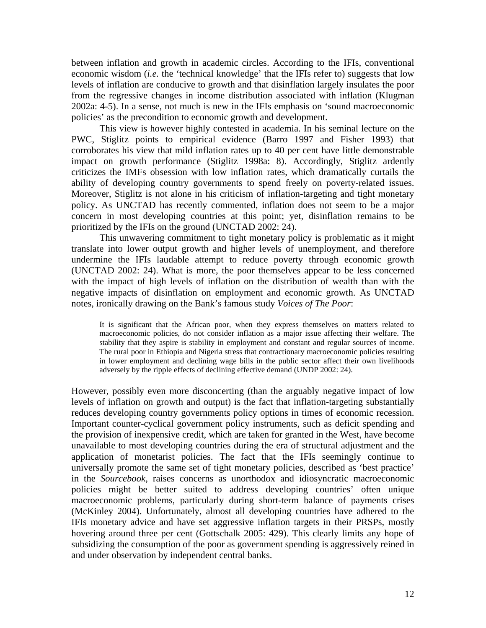between inflation and growth in academic circles. According to the IFIs, conventional economic wisdom (*i.e.* the 'technical knowledge' that the IFIs refer to) suggests that low levels of inflation are conducive to growth and that disinflation largely insulates the poor from the regressive changes in income distribution associated with inflation (Klugman 2002a: 4-5). In a sense, not much is new in the IFIs emphasis on 'sound macroeconomic policies' as the precondition to economic growth and development.

This view is however highly contested in academia. In his seminal lecture on the PWC, Stiglitz points to empirical evidence (Barro 1997 and Fisher 1993) that corroborates his view that mild inflation rates up to 40 per cent have little demonstrable impact on growth performance (Stiglitz 1998a: 8). Accordingly, Stiglitz ardently criticizes the IMFs obsession with low inflation rates, which dramatically curtails the ability of developing country governments to spend freely on poverty-related issues. Moreover, Stiglitz is not alone in his criticism of inflation-targeting and tight monetary policy. As UNCTAD has recently commented, inflation does not seem to be a major concern in most developing countries at this point; yet, disinflation remains to be prioritized by the IFIs on the ground (UNCTAD 2002: 24).

This unwavering commitment to tight monetary policy is problematic as it might translate into lower output growth and higher levels of unemployment, and therefore undermine the IFIs laudable attempt to reduce poverty through economic growth (UNCTAD 2002: 24). What is more, the poor themselves appear to be less concerned with the impact of high levels of inflation on the distribution of wealth than with the negative impacts of disinflation on employment and economic growth. As UNCTAD notes, ironically drawing on the Bank's famous study *Voices of The Poor*:

It is significant that the African poor, when they express themselves on matters related to macroeconomic policies, do not consider inflation as a major issue affecting their welfare. The stability that they aspire is stability in employment and constant and regular sources of income. The rural poor in Ethiopia and Nigeria stress that contractionary macroeconomic policies resulting in lower employment and declining wage bills in the public sector affect their own livelihoods adversely by the ripple effects of declining effective demand (UNDP 2002: 24).

However, possibly even more disconcerting (than the arguably negative impact of low levels of inflation on growth and output) is the fact that inflation-targeting substantially reduces developing country governments policy options in times of economic recession. Important counter-cyclical government policy instruments, such as deficit spending and the provision of inexpensive credit, which are taken for granted in the West, have become unavailable to most developing countries during the era of structural adjustment and the application of monetarist policies. The fact that the IFIs seemingly continue to universally promote the same set of tight monetary policies, described as 'best practice' in the *Sourcebook*, raises concerns as unorthodox and idiosyncratic macroeconomic policies might be better suited to address developing countries' often unique macroeconomic problems, particularly during short-term balance of payments crises (McKinley 2004). Unfortunately, almost all developing countries have adhered to the IFIs monetary advice and have set aggressive inflation targets in their PRSPs, mostly hovering around three per cent (Gottschalk 2005: 429). This clearly limits any hope of subsidizing the consumption of the poor as government spending is aggressively reined in and under observation by independent central banks.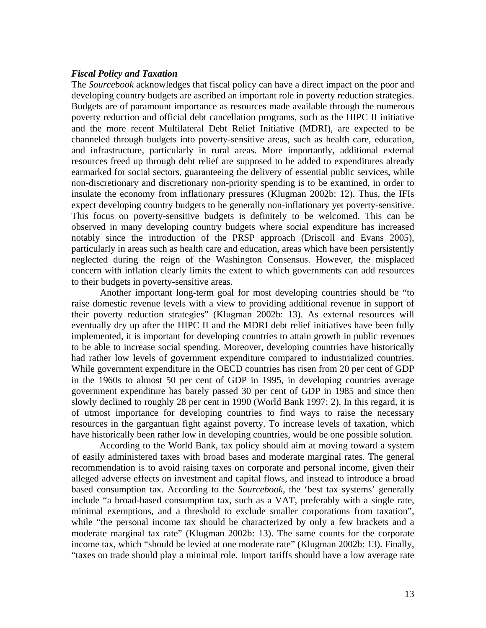#### *Fiscal Policy and Taxation*

The *Sourcebook* acknowledges that fiscal policy can have a direct impact on the poor and developing country budgets are ascribed an important role in poverty reduction strategies. Budgets are of paramount importance as resources made available through the numerous poverty reduction and official debt cancellation programs, such as the HIPC II initiative and the more recent Multilateral Debt Relief Initiative (MDRI), are expected to be channeled through budgets into poverty-sensitive areas, such as health care, education, and infrastructure, particularly in rural areas. More importantly, additional external resources freed up through debt relief are supposed to be added to expenditures already earmarked for social sectors, guaranteeing the delivery of essential public services, while non-discretionary and discretionary non-priority spending is to be examined, in order to insulate the economy from inflationary pressures (Klugman 2002b: 12). Thus, the IFIs expect developing country budgets to be generally non-inflationary yet poverty-sensitive. This focus on poverty-sensitive budgets is definitely to be welcomed. This can be observed in many developing country budgets where social expenditure has increased notably since the introduction of the PRSP approach (Driscoll and Evans 2005), particularly in areas such as health care and education, areas which have been persistently neglected during the reign of the Washington Consensus. However, the misplaced concern with inflation clearly limits the extent to which governments can add resources to their budgets in poverty-sensitive areas.

 Another important long-term goal for most developing countries should be "to raise domestic revenue levels with a view to providing additional revenue in support of their poverty reduction strategies" (Klugman 2002b: 13). As external resources will eventually dry up after the HIPC II and the MDRI debt relief initiatives have been fully implemented, it is important for developing countries to attain growth in public revenues to be able to increase social spending. Moreover, developing countries have historically had rather low levels of government expenditure compared to industrialized countries. While government expenditure in the OECD countries has risen from 20 per cent of GDP in the 1960s to almost 50 per cent of GDP in 1995, in developing countries average government expenditure has barely passed 30 per cent of GDP in 1985 and since then slowly declined to roughly 28 per cent in 1990 (World Bank 1997: 2). In this regard, it is of utmost importance for developing countries to find ways to raise the necessary resources in the gargantuan fight against poverty. To increase levels of taxation, which have historically been rather low in developing countries, would be one possible solution.

According to the World Bank, tax policy should aim at moving toward a system of easily administered taxes with broad bases and moderate marginal rates. The general recommendation is to avoid raising taxes on corporate and personal income, given their alleged adverse effects on investment and capital flows, and instead to introduce a broad based consumption tax. According to the *Sourcebook*, the 'best tax systems' generally include "a broad-based consumption tax, such as a VAT, preferably with a single rate, minimal exemptions, and a threshold to exclude smaller corporations from taxation", while "the personal income tax should be characterized by only a few brackets and a moderate marginal tax rate" (Klugman 2002b: 13). The same counts for the corporate income tax, which "should be levied at one moderate rate" (Klugman 2002b: 13). Finally, "taxes on trade should play a minimal role. Import tariffs should have a low average rate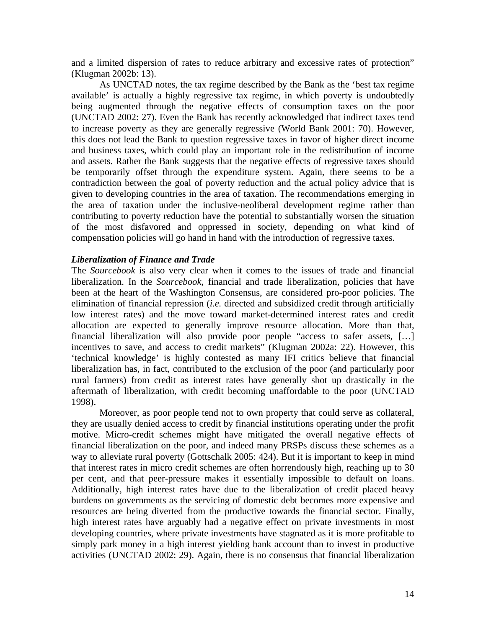and a limited dispersion of rates to reduce arbitrary and excessive rates of protection" (Klugman 2002b: 13).

As UNCTAD notes, the tax regime described by the Bank as the 'best tax regime available' is actually a highly regressive tax regime, in which poverty is undoubtedly being augmented through the negative effects of consumption taxes on the poor (UNCTAD 2002: 27). Even the Bank has recently acknowledged that indirect taxes tend to increase poverty as they are generally regressive (World Bank 2001: 70). However, this does not lead the Bank to question regressive taxes in favor of higher direct income and business taxes, which could play an important role in the redistribution of income and assets. Rather the Bank suggests that the negative effects of regressive taxes should be temporarily offset through the expenditure system. Again, there seems to be a contradiction between the goal of poverty reduction and the actual policy advice that is given to developing countries in the area of taxation. The recommendations emerging in the area of taxation under the inclusive-neoliberal development regime rather than contributing to poverty reduction have the potential to substantially worsen the situation of the most disfavored and oppressed in society, depending on what kind of compensation policies will go hand in hand with the introduction of regressive taxes.

#### *Liberalization of Finance and Trade*

The *Sourcebook* is also very clear when it comes to the issues of trade and financial liberalization. In the *Sourcebook*, financial and trade liberalization, policies that have been at the heart of the Washington Consensus, are considered pro-poor policies. The elimination of financial repression (*i.e.* directed and subsidized credit through artificially low interest rates) and the move toward market-determined interest rates and credit allocation are expected to generally improve resource allocation. More than that, financial liberalization will also provide poor people "access to safer assets, […] incentives to save, and access to credit markets" (Klugman 2002a: 22). However, this 'technical knowledge' is highly contested as many IFI critics believe that financial liberalization has, in fact, contributed to the exclusion of the poor (and particularly poor rural farmers) from credit as interest rates have generally shot up drastically in the aftermath of liberalization, with credit becoming unaffordable to the poor (UNCTAD 1998).

Moreover, as poor people tend not to own property that could serve as collateral, they are usually denied access to credit by financial institutions operating under the profit motive. Micro-credit schemes might have mitigated the overall negative effects of financial liberalization on the poor, and indeed many PRSPs discuss these schemes as a way to alleviate rural poverty (Gottschalk 2005: 424). But it is important to keep in mind that interest rates in micro credit schemes are often horrendously high, reaching up to 30 per cent, and that peer-pressure makes it essentially impossible to default on loans. Additionally, high interest rates have due to the liberalization of credit placed heavy burdens on governments as the servicing of domestic debt becomes more expensive and resources are being diverted from the productive towards the financial sector. Finally, high interest rates have arguably had a negative effect on private investments in most developing countries, where private investments have stagnated as it is more profitable to simply park money in a high interest yielding bank account than to invest in productive activities (UNCTAD 2002: 29). Again, there is no consensus that financial liberalization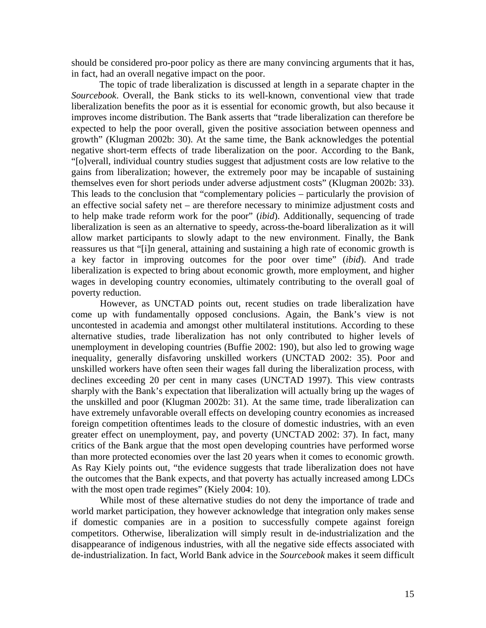should be considered pro-poor policy as there are many convincing arguments that it has, in fact, had an overall negative impact on the poor.

The topic of trade liberalization is discussed at length in a separate chapter in the *Sourcebook*. Overall, the Bank sticks to its well-known, conventional view that trade liberalization benefits the poor as it is essential for economic growth, but also because it improves income distribution. The Bank asserts that "trade liberalization can therefore be expected to help the poor overall, given the positive association between openness and growth" (Klugman 2002b: 30). At the same time, the Bank acknowledges the potential negative short-term effects of trade liberalization on the poor. According to the Bank, "[o]verall, individual country studies suggest that adjustment costs are low relative to the gains from liberalization; however, the extremely poor may be incapable of sustaining themselves even for short periods under adverse adjustment costs" (Klugman 2002b: 33). This leads to the conclusion that "complementary policies – particularly the provision of an effective social safety net – are therefore necessary to minimize adjustment costs and to help make trade reform work for the poor" (*ibid*). Additionally, sequencing of trade liberalization is seen as an alternative to speedy, across-the-board liberalization as it will allow market participants to slowly adapt to the new environment. Finally, the Bank reassures us that "[i]n general, attaining and sustaining a high rate of economic growth is a key factor in improving outcomes for the poor over time" (*ibid*). And trade liberalization is expected to bring about economic growth, more employment, and higher wages in developing country economies, ultimately contributing to the overall goal of poverty reduction.

 However, as UNCTAD points out, recent studies on trade liberalization have come up with fundamentally opposed conclusions. Again, the Bank's view is not uncontested in academia and amongst other multilateral institutions. According to these alternative studies, trade liberalization has not only contributed to higher levels of unemployment in developing countries (Buffie 2002: 190), but also led to growing wage inequality, generally disfavoring unskilled workers (UNCTAD 2002: 35). Poor and unskilled workers have often seen their wages fall during the liberalization process, with declines exceeding 20 per cent in many cases (UNCTAD 1997). This view contrasts sharply with the Bank's expectation that liberalization will actually bring up the wages of the unskilled and poor (Klugman 2002b: 31). At the same time, trade liberalization can have extremely unfavorable overall effects on developing country economies as increased foreign competition oftentimes leads to the closure of domestic industries, with an even greater effect on unemployment, pay, and poverty (UNCTAD 2002: 37). In fact, many critics of the Bank argue that the most open developing countries have performed worse than more protected economies over the last 20 years when it comes to economic growth. As Ray Kiely points out, "the evidence suggests that trade liberalization does not have the outcomes that the Bank expects, and that poverty has actually increased among LDCs with the most open trade regimes" (Kiely 2004: 10).

 While most of these alternative studies do not deny the importance of trade and world market participation, they however acknowledge that integration only makes sense if domestic companies are in a position to successfully compete against foreign competitors. Otherwise, liberalization will simply result in de-industrialization and the disappearance of indigenous industries, with all the negative side effects associated with de-industrialization. In fact, World Bank advice in the *Sourcebook* makes it seem difficult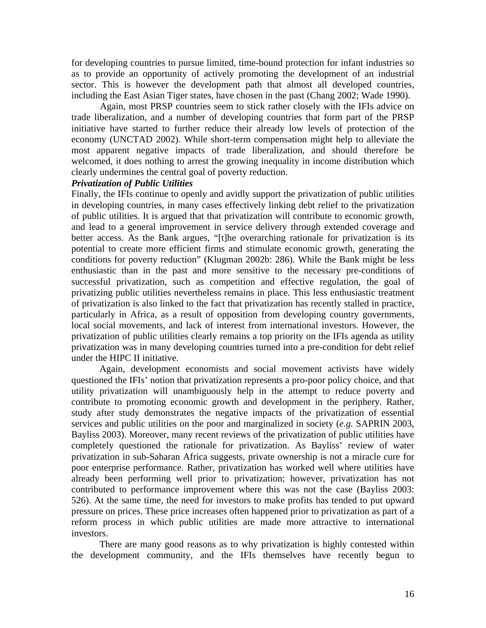for developing countries to pursue limited, time-bound protection for infant industries so as to provide an opportunity of actively promoting the development of an industrial sector. This is however the development path that almost all developed countries, including the East Asian Tiger states, have chosen in the past (Chang 2002; Wade 1990).

Again, most PRSP countries seem to stick rather closely with the IFIs advice on trade liberalization, and a number of developing countries that form part of the PRSP initiative have started to further reduce their already low levels of protection of the economy (UNCTAD 2002). While short-term compensation might help to alleviate the most apparent negative impacts of trade liberalization, and should therefore be welcomed, it does nothing to arrest the growing inequality in income distribution which clearly undermines the central goal of poverty reduction.

## *Privatization of Public Utilities*

Finally, the IFIs continue to openly and avidly support the privatization of public utilities in developing countries, in many cases effectively linking debt relief to the privatization of public utilities. It is argued that that privatization will contribute to economic growth, and lead to a general improvement in service delivery through extended coverage and better access. As the Bank argues, "[t]he overarching rationale for privatization is its potential to create more efficient firms and stimulate economic growth, generating the conditions for poverty reduction" (Klugman 2002b: 286). While the Bank might be less enthusiastic than in the past and more sensitive to the necessary pre-conditions of successful privatization, such as competition and effective regulation, the goal of privatizing public utilities nevertheless remains in place. This less enthusiastic treatment of privatization is also linked to the fact that privatization has recently stalled in practice, particularly in Africa, as a result of opposition from developing country governments, local social movements, and lack of interest from international investors. However, the privatization of public utilities clearly remains a top priority on the IFIs agenda as utility privatization was in many developing countries turned into a pre-condition for debt relief under the HIPC II initiative.

Again, development economists and social movement activists have widely questioned the IFIs' notion that privatization represents a pro-poor policy choice, and that utility privatization will unambiguously help in the attempt to reduce poverty and contribute to promoting economic growth and development in the periphery. Rather, study after study demonstrates the negative impacts of the privatization of essential services and public utilities on the poor and marginalized in society (*e.g.* SAPRIN 2003, Bayliss 2003). Moreover, many recent reviews of the privatization of public utilities have completely questioned the rationale for privatization. As Bayliss' review of water privatization in sub-Saharan Africa suggests, private ownership is not a miracle cure for poor enterprise performance. Rather, privatization has worked well where utilities have already been performing well prior to privatization; however, privatization has not contributed to performance improvement where this was not the case (Bayliss 2003: 526). At the same time, the need for investors to make profits has tended to put upward pressure on prices. These price increases often happened prior to privatization as part of a reform process in which public utilities are made more attractive to international investors.

There are many good reasons as to why privatization is highly contested within the development community, and the IFIs themselves have recently begun to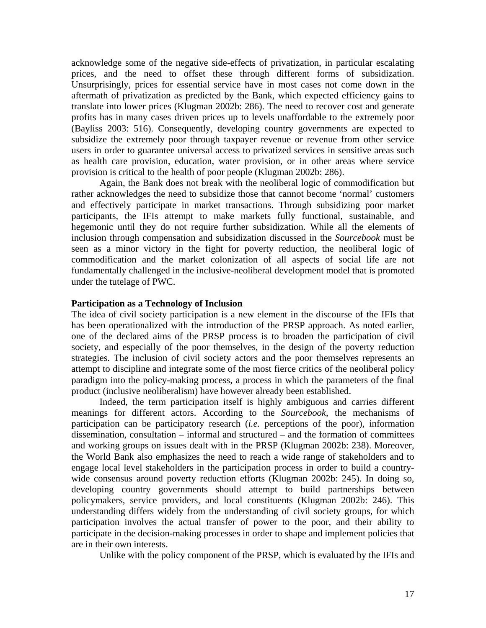acknowledge some of the negative side-effects of privatization, in particular escalating prices, and the need to offset these through different forms of subsidization. Unsurprisingly, prices for essential service have in most cases not come down in the aftermath of privatization as predicted by the Bank, which expected efficiency gains to translate into lower prices (Klugman 2002b: 286). The need to recover cost and generate profits has in many cases driven prices up to levels unaffordable to the extremely poor (Bayliss 2003: 516). Consequently, developing country governments are expected to subsidize the extremely poor through taxpayer revenue or revenue from other service users in order to guarantee universal access to privatized services in sensitive areas such as health care provision, education, water provision, or in other areas where service provision is critical to the health of poor people (Klugman 2002b: 286).

Again, the Bank does not break with the neoliberal logic of commodification but rather acknowledges the need to subsidize those that cannot become 'normal' customers and effectively participate in market transactions. Through subsidizing poor market participants, the IFIs attempt to make markets fully functional, sustainable, and hegemonic until they do not require further subsidization. While all the elements of inclusion through compensation and subsidization discussed in the *Sourcebook* must be seen as a minor victory in the fight for poverty reduction, the neoliberal logic of commodification and the market colonization of all aspects of social life are not fundamentally challenged in the inclusive-neoliberal development model that is promoted under the tutelage of PWC.

#### **Participation as a Technology of Inclusion**

The idea of civil society participation is a new element in the discourse of the IFIs that has been operationalized with the introduction of the PRSP approach. As noted earlier, one of the declared aims of the PRSP process is to broaden the participation of civil society, and especially of the poor themselves, in the design of the poverty reduction strategies. The inclusion of civil society actors and the poor themselves represents an attempt to discipline and integrate some of the most fierce critics of the neoliberal policy paradigm into the policy-making process, a process in which the parameters of the final product (inclusive neoliberalism) have however already been established.

Indeed, the term participation itself is highly ambiguous and carries different meanings for different actors. According to the *Sourcebook*, the mechanisms of participation can be participatory research (*i.e.* perceptions of the poor), information dissemination, consultation – informal and structured – and the formation of committees and working groups on issues dealt with in the PRSP (Klugman 2002b: 238). Moreover, the World Bank also emphasizes the need to reach a wide range of stakeholders and to engage local level stakeholders in the participation process in order to build a countrywide consensus around poverty reduction efforts (Klugman 2002b: 245). In doing so, developing country governments should attempt to build partnerships between policymakers, service providers, and local constituents (Klugman 2002b: 246). This understanding differs widely from the understanding of civil society groups, for which participation involves the actual transfer of power to the poor, and their ability to participate in the decision-making processes in order to shape and implement policies that are in their own interests.

Unlike with the policy component of the PRSP, which is evaluated by the IFIs and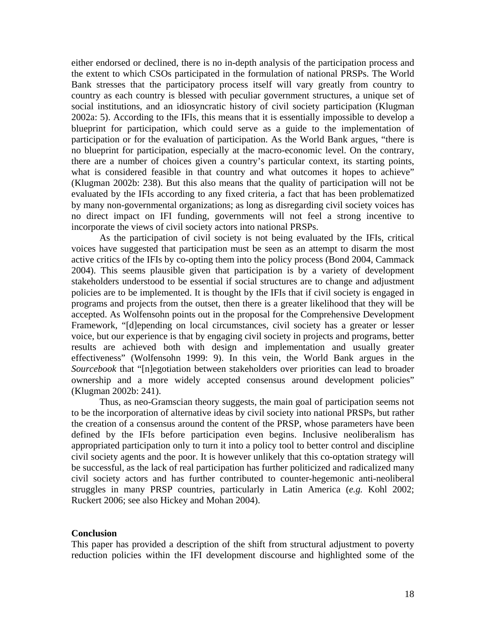either endorsed or declined, there is no in-depth analysis of the participation process and the extent to which CSOs participated in the formulation of national PRSPs. The World Bank stresses that the participatory process itself will vary greatly from country to country as each country is blessed with peculiar government structures, a unique set of social institutions, and an idiosyncratic history of civil society participation (Klugman 2002a: 5). According to the IFIs, this means that it is essentially impossible to develop a blueprint for participation, which could serve as a guide to the implementation of participation or for the evaluation of participation. As the World Bank argues, "there is no blueprint for participation, especially at the macro-economic level. On the contrary, there are a number of choices given a country's particular context, its starting points, what is considered feasible in that country and what outcomes it hopes to achieve" (Klugman 2002b: 238). But this also means that the quality of participation will not be evaluated by the IFIs according to any fixed criteria, a fact that has been problematized by many non-governmental organizations; as long as disregarding civil society voices has no direct impact on IFI funding, governments will not feel a strong incentive to incorporate the views of civil society actors into national PRSPs.

As the participation of civil society is not being evaluated by the IFIs, critical voices have suggested that participation must be seen as an attempt to disarm the most active critics of the IFIs by co-opting them into the policy process (Bond 2004, Cammack 2004). This seems plausible given that participation is by a variety of development stakeholders understood to be essential if social structures are to change and adjustment policies are to be implemented. It is thought by the IFIs that if civil society is engaged in programs and projects from the outset, then there is a greater likelihood that they will be accepted. As Wolfensohn points out in the proposal for the Comprehensive Development Framework, "[d]epending on local circumstances, civil society has a greater or lesser voice, but our experience is that by engaging civil society in projects and programs, better results are achieved both with design and implementation and usually greater effectiveness" (Wolfensohn 1999: 9). In this vein, the World Bank argues in the *Sourcebook* that "[n]egotiation between stakeholders over priorities can lead to broader ownership and a more widely accepted consensus around development policies" (Klugman 2002b: 241).

Thus, as neo-Gramscian theory suggests, the main goal of participation seems not to be the incorporation of alternative ideas by civil society into national PRSPs, but rather the creation of a consensus around the content of the PRSP, whose parameters have been defined by the IFIs before participation even begins. Inclusive neoliberalism has appropriated participation only to turn it into a policy tool to better control and discipline civil society agents and the poor. It is however unlikely that this co-optation strategy will be successful, as the lack of real participation has further politicized and radicalized many civil society actors and has further contributed to counter-hegemonic anti-neoliberal struggles in many PRSP countries, particularly in Latin America (*e.g.* Kohl 2002; Ruckert 2006; see also Hickey and Mohan 2004).

#### **Conclusion**

This paper has provided a description of the shift from structural adjustment to poverty reduction policies within the IFI development discourse and highlighted some of the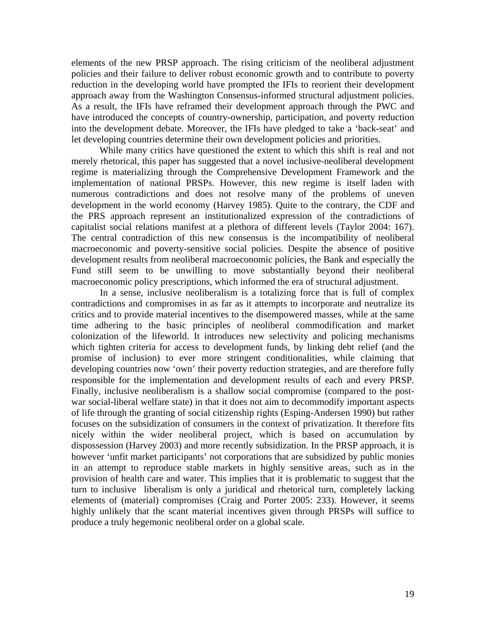elements of the new PRSP approach. The rising criticism of the neoliberal adjustment policies and their failure to deliver robust economic growth and to contribute to poverty reduction in the developing world have prompted the IFIs to reorient their development approach away from the Washington Consensus-informed structural adjustment policies. As a result, the IFIs have reframed their development approach through the PWC and have introduced the concepts of country-ownership, participation, and poverty reduction into the development debate. Moreover, the IFIs have pledged to take a 'back-seat' and let developing countries determine their own development policies and priorities.

While many critics have questioned the extent to which this shift is real and not merely rhetorical, this paper has suggested that a novel inclusive-neoliberal development regime is materializing through the Comprehensive Development Framework and the implementation of national PRSPs. However, this new regime is itself laden with numerous contradictions and does not resolve many of the problems of uneven development in the world economy (Harvey 1985). Quite to the contrary, the CDF and the PRS approach represent an institutionalized expression of the contradictions of capitalist social relations manifest at a plethora of different levels (Taylor 2004: 167). The central contradiction of this new consensus is the incompatibility of neoliberal macroeconomic and poverty-sensitive social policies. Despite the absence of positive development results from neoliberal macroeconomic policies, the Bank and especially the Fund still seem to be unwilling to move substantially beyond their neoliberal macroeconomic policy prescriptions, which informed the era of structural adjustment.

In a sense, inclusive neoliberalism is a totalizing force that is full of complex contradictions and compromises in as far as it attempts to incorporate and neutralize its critics and to provide material incentives to the disempowered masses, while at the same time adhering to the basic principles of neoliberal commodification and market colonization of the lifeworld. It introduces new selectivity and policing mechanisms which tighten criteria for access to development funds, by linking debt relief (and the promise of inclusion) to ever more stringent conditionalities, while claiming that developing countries now 'own' their poverty reduction strategies, and are therefore fully responsible for the implementation and development results of each and every PRSP. Finally, inclusive neoliberalism is a shallow social compromise (compared to the postwar social-liberal welfare state) in that it does not aim to decommodify important aspects of life through the granting of social citizenship rights (Esping-Andersen 1990) but rather focuses on the subsidization of consumers in the context of privatization. It therefore fits nicely within the wider neoliberal project, which is based on accumulation by dispossession (Harvey 2003) and more recently subsidization. In the PRSP approach, it is however 'unfit market participants' not corporations that are subsidized by public monies in an attempt to reproduce stable markets in highly sensitive areas, such as in the provision of health care and water. This implies that it is problematic to suggest that the turn to inclusive liberalism is only a juridical and rhetorical turn, completely lacking elements of (material) compromises (Craig and Porter 2005: 233). However, it seems highly unlikely that the scant material incentives given through PRSPs will suffice to produce a truly hegemonic neoliberal order on a global scale.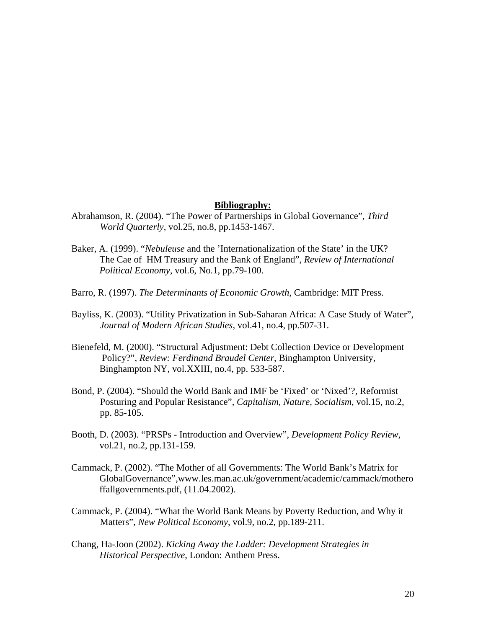#### **Bibliography:**

- Abrahamson, R. (2004). "The Power of Partnerships in Global Governance", *Third World Quarterly*, vol.25, no.8, pp.1453-1467.
- Baker, A. (1999). "*Nebuleuse* and the 'Internationalization of the State' in the UK? The Cae of HM Treasury and the Bank of England", *Review of International Political Economy*, vol.6, No.1, pp.79-100.
- Barro, R. (1997). *The Determinants of Economic Growth*, Cambridge: MIT Press.
- Bayliss, K. (2003). "Utility Privatization in Sub-Saharan Africa: A Case Study of Water", *Journal of Modern African Studies*, vol.41, no.4, pp.507-31.
- Bienefeld, M. (2000). "Structural Adjustment: Debt Collection Device or Development Policy?", *Review: Ferdinand Braudel Center*, Binghampton University, Binghampton NY, vol.XXIII, no.4, pp. 533-587.
- Bond, P. (2004). "Should the World Bank and IMF be 'Fixed' or 'Nixed'?, Reformist Posturing and Popular Resistance", *Capitalism, Nature, Socialism*, vol.15, no.2, pp. 85-105.
- Booth, D. (2003). "PRSPs Introduction and Overview", *Development Policy Review*, vol.21, no.2, pp.131-159.
- Cammack, P. (2002). "The Mother of all Governments: The World Bank's Matrix for GlobalGovernance"[,www.les.man.ac.uk/government/academic/cammack/mothero](http://www.les.man.ac.uk/government/academic/cammack/motheroffallgovernments.pdf) [ffallgovernments.pdf](http://www.les.man.ac.uk/government/academic/cammack/motheroffallgovernments.pdf), (11.04.2002).
- Cammack, P. (2004). "What the World Bank Means by Poverty Reduction, and Why it Matters", *New Political Economy*, vol.9, no.2, pp.189-211.
- Chang, Ha-Joon (2002). *Kicking Away the Ladder: Development Strategies in Historical Perspective*, London: Anthem Press.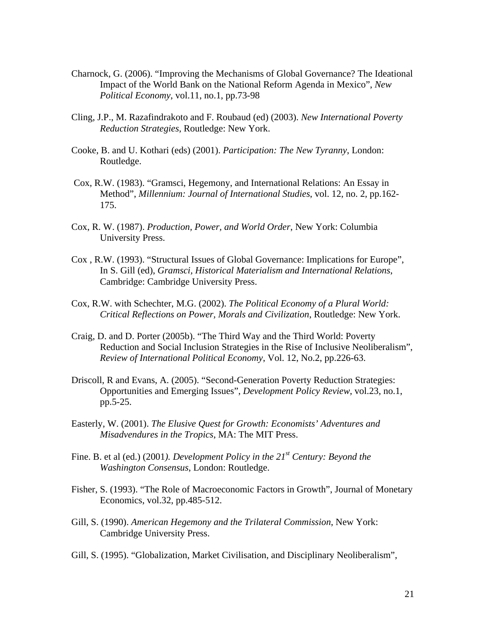- Charnock, G. (2006). "Improving the Mechanisms of Global Governance? The Ideational Impact of the World Bank on the National Reform Agenda in Mexico", *New Political Economy*, vol.11, no.1, pp.73-98
- Cling, J.P., M. Razafindrakoto and F. Roubaud (ed) (2003). *New International Poverty Reduction Strategies*, Routledge: New York.
- Cooke, B. and U. Kothari (eds) (2001). *Participation: The New Tyranny*, London: Routledge.
- Cox, R.W. (1983). "Gramsci, Hegemony, and International Relations: An Essay in Method", *Millennium: Journal of International Studies*, vol. 12, no. 2, pp.162- 175.
- Cox, R. W. (1987). *Production, Power, and World Order*, New York: Columbia University Press.
- Cox , R.W. (1993). "Structural Issues of Global Governance: Implications for Europe", In S. Gill (ed), *Gramsci, Historical Materialism and International Relations*, Cambridge: Cambridge University Press.
- Cox, R.W. with Schechter, M.G. (2002). *The Political Economy of a Plural World: Critical Reflections on Power, Morals and Civilization*, Routledge: New York.
- Craig, D. and D. Porter (2005b). "The Third Way and the Third World: Poverty Reduction and Social Inclusion Strategies in the Rise of Inclusive Neoliberalism", *Review of International Political Economy*, Vol. 12, No.2, pp.226-63.
- Driscoll, R and Evans, A. (2005). "Second-Generation Poverty Reduction Strategies: Opportunities and Emerging Issues", *Development Policy Review*, vol.23, no.1, pp.5-25.
- Easterly, W. (2001). *The Elusive Quest for Growth: Economists' Adventures and Misadvendures in the Tropics*, MA: The MIT Press.
- Fine. B. et al (ed.) (2001). *Development Policy in the 21<sup>st</sup> Century: Beyond the Washington Consensus*, London: Routledge.
- Fisher, S. (1993). "The Role of Macroeconomic Factors in Growth", Journal of Monetary Economics, vol.32, pp.485-512.
- Gill, S. (1990). *American Hegemony and the Trilateral Commission*, New York: Cambridge University Press.
- Gill, S. (1995). "Globalization, Market Civilisation, and Disciplinary Neoliberalism",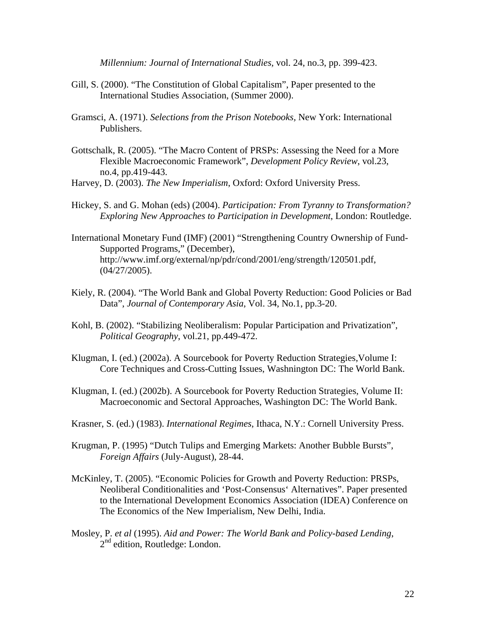*Millennium: Journal of International Studies,* vol. 24, no.3, pp. 399-423.

- Gill, S. (2000). "The Constitution of Global Capitalism", Paper presented to the International Studies Association, (Summer 2000).
- Gramsci, A. (1971). *Selections from the Prison Notebooks,* New York: International Publishers.
- Gottschalk, R. (2005). "The Macro Content of PRSPs: Assessing the Need for a More Flexible Macroeconomic Framework", *Development Policy Review*, vol.23, no.4, pp.419-443.

Harvey, D. (2003). *The New Imperialism*, Oxford: Oxford University Press.

- Hickey, S. and G. Mohan (eds) (2004). *Participation: From Tyranny to Transformation? Exploring New Approaches to Participation in Development*, London: Routledge.
- International Monetary Fund (IMF) (2001) "Strengthening Country Ownership of Fund-Supported Programs," (December), http://www.imf.org/external/np/pdr/cond/2001/eng/strength/120501.pdf, (04/27/2005).
- Kiely, R. (2004). "The World Bank and Global Poverty Reduction: Good Policies or Bad Data", *Journal of Contemporary Asia*, Vol. 34, No.1, pp.3-20.
- Kohl, B. (2002). "Stabilizing Neoliberalism: Popular Participation and Privatization", *Political Geography*, vol.21, pp.449-472.
- Klugman, I. (ed.) (2002a). A Sourcebook for Poverty Reduction Strategies,Volume I: Core Techniques and Cross-Cutting Issues, Washnington DC: The World Bank.
- Klugman, I. (ed.) (2002b). A Sourcebook for Poverty Reduction Strategies, Volume II: Macroeconomic and Sectoral Approaches, Washington DC: The World Bank.
- Krasner, S. (ed.) (1983). *International Regimes*, Ithaca, N.Y.: Cornell University Press.
- Krugman, P. (1995) "Dutch Tulips and Emerging Markets: Another Bubble Bursts", *Foreign Affairs* (July-August), 28-44.
- McKinley, T. (2005). "Economic Policies for Growth and Poverty Reduction: PRSPs, Neoliberal Conditionalities and 'Post-Consensus' Alternatives". Paper presented to the International Development Economics Association (IDEA) Conference on The Economics of the New Imperialism, New Delhi, India.
- Mosley, P. *et al* (1995). *Aid and Power: The World Bank and Policy-based Lending*,  $2<sup>nd</sup>$  edition, Routledge: London.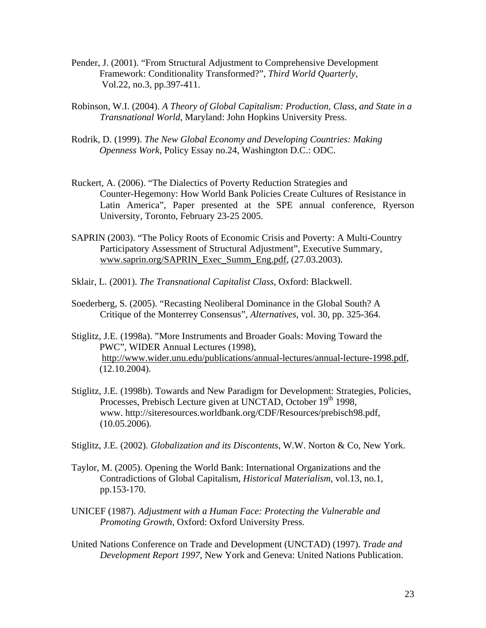- Pender, J. (2001). "From Structural Adjustment to Comprehensive Development Framework: Conditionality Transformed?", *Third World Quarterly*, Vol.22, no.3, pp.397-411.
- Robinson, W.I. (2004). *A Theory of Global Capitalism: Production, Class, and State in a Transnational World*, Maryland: John Hopkins University Press.
- Rodrik, D. (1999). *The New Global Economy and Developing Countries: Making Openness Work*, Policy Essay no.24, Washington D.C.: ODC.
- Ruckert, A. (2006). "The Dialectics of Poverty Reduction Strategies and Counter-Hegemony: How World Bank Policies Create Cultures of Resistance in Latin America", Paper presented at the SPE annual conference, Ryerson University, Toronto, February 23-25 2005.
- SAPRIN (2003). "The Policy Roots of Economic Crisis and Poverty: A Multi-Country Participatory Assessment of Structural Adjustment", Executive Summary, [www.saprin.org/SAPRIN\\_Exec\\_Summ\\_Eng.pdf,](http://www.saprin.org/SAPRIN_Exec_Summ_Eng.pdf) (27.03.2003).
- Sklair, L. (2001). *The Transnational Capitalist Class*, Oxford: Blackwell.
- Soederberg, S. (2005). "Recasting Neoliberal Dominance in the Global South? A Critique of the Monterrey Consensus", *Alternatives*, vol. 30, pp. 325-364.
- Stiglitz, J.E. (1998a). "More Instruments and Broader Goals: Moving Toward the PWC", WIDER Annual Lectures (1998), http://www.wider.unu.edu/publications/annual-lectures/annual-lecture-1998.pdf, (12.10.2004).
- Stiglitz, J.E. (1998b). Towards and New Paradigm for Development: Strategies, Policies, Processes, Prebisch Lecture given at UNCTAD, October 19<sup>th</sup> 1998, www. http://siteresources.worldbank.org/CDF/Resources/prebisch98.pdf, (10.05.2006).
- Stiglitz, J.E. (2002). *Globalization and its Discontents*, W.W. Norton & Co, New York.
- Taylor, M. (2005). Opening the World Bank: International Organizations and the Contradictions of Global Capitalism, *Historical Materialism*, vol.13, no.1, pp.153-170.
- UNICEF (1987). *Adjustment with a Human Face: Protecting the Vulnerable and Promoting Growth*, Oxford: Oxford University Press.
- United Nations Conference on Trade and Development (UNCTAD) (1997). *Trade and Development Report 1997*, New York and Geneva: United Nations Publication.